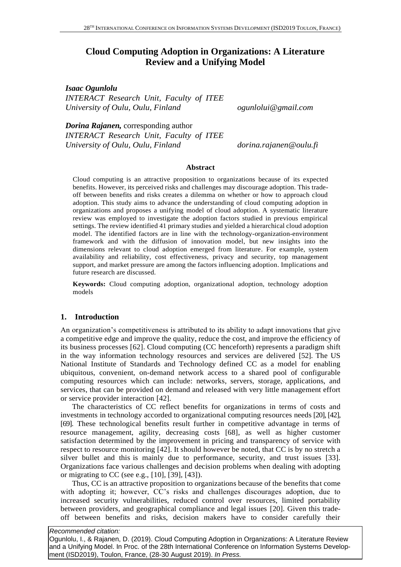# **Cloud Computing Adoption in Organizations: A Literature Review and a Unifying Model**

*Isaac Ogunlolu*

*INTERACT Research Unit, Faculty of ITEE University of Oulu, Oulu, Finland ogunlolui@gmail.com*

*Dorina Rajanen,* corresponding author *INTERACT Research Unit, Faculty of ITEE University of Oulu, Oulu, Finland dorina.rajanen@oulu.fi*

### **Abstract**

Cloud computing is an attractive proposition to organizations because of its expected benefits. However, its perceived risks and challenges may discourage adoption. This tradeoff between benefits and risks creates a dilemma on whether or how to approach cloud adoption. This study aims to advance the understanding of cloud computing adoption in organizations and proposes a unifying model of cloud adoption. A systematic literature review was employed to investigate the adoption factors studied in previous empirical settings. The review identified 41 primary studies and yielded a hierarchical cloud adoption model. The identified factors are in line with the technology-organization-environment framework and with the diffusion of innovation model, but new insights into the dimensions relevant to cloud adoption emerged from literature. For example, system availability and reliability, cost effectiveness, privacy and security, top management support, and market pressure are among the factors influencing adoption. Implications and future research are discussed.

**Keywords:** Cloud computing adoption, organizational adoption, technology adoption models

## **1. Introduction**

An organization's competitiveness is attributed to its ability to adapt innovations that give a competitive edge and improve the quality, reduce the cost, and improve the efficiency of its business processes [62]. Cloud computing (CC henceforth) represents a paradigm shift in the way information technology resources and services are delivered [52]. The US National Institute of Standards and Technology defined CC as a model for enabling ubiquitous, convenient, on-demand network access to a shared pool of configurable computing resources which can include: networks, servers, storage, applications, and services, that can be provided on demand and released with very little management effort or service provider interaction [42].

The characteristics of CC reflect benefits for organizations in terms of costs and investments in technology accorded to organizational computing resources needs [20], [42], [69]. These technological benefits result further in competitive advantage in terms of resource management, agility, decreasing costs [68], as well as higher customer satisfaction determined by the improvement in pricing and transparency of service with respect to resource monitoring [42]. It should however be noted, that CC is by no stretch a silver bullet and this is mainly due to performance, security, and trust issues [33]. Organizations face various challenges and decision problems when dealing with adopting or migrating to CC (see e.g., [10], [39], [43]).

Thus, CC is an attractive proposition to organizations because of the benefits that come with adopting it; however, CC's risks and challenges discourages adoption, due to increased security vulnerabilities, reduced control over resources, limited portability between providers, and geographical compliance and legal issues [20]. Given this tradeoff between benefits and risks, decision makers have to consider carefully their

#### *Recommended citation:*

Ogunlolu, I., & Rajanen, D. (2019). Cloud Computing Adoption in Organizations: A Literature Review and a Unifying Model. In Proc. of the 28th International Conference on Information Systems Development (ISD2019), Toulon, France, (28-30 August 2019). *In Press.*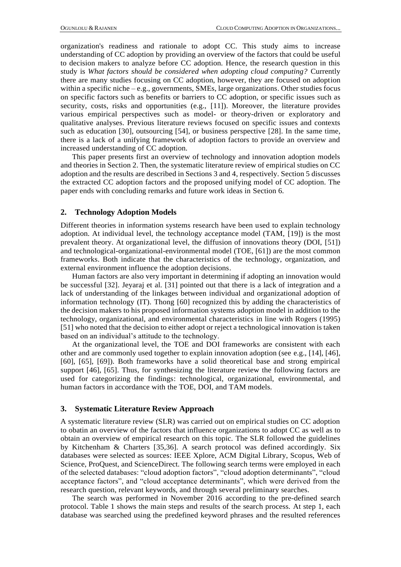organization's readiness and rationale to adopt CC. This study aims to increase understanding of CC adoption by providing an overview of the factors that could be useful to decision makers to analyze before CC adoption. Hence, the research question in this study is *What factors should be considered when adopting cloud computing?* Currently there are many studies focusing on CC adoption, however, they are focused on adoption within a specific niche – e.g., governments, SMEs, large organizations. Other studies focus on specific factors such as benefits or barriers to CC adoption, or specific issues such as security, costs, risks and opportunities (e.g., [11]). Moreover, the literature provides various empirical perspectives such as model- or theory-driven or exploratory and qualitative analyses. Previous literature reviews focused on specific issues and contexts such as education [30], outsourcing [54], or business perspective [28]. In the same time, there is a lack of a unifying framework of adoption factors to provide an overview and increased understanding of CC adoption.

This paper presents first an overview of technology and innovation adoption models and theories in Section 2. Then, the systematic literature review of empirical studies on CC adoption and the results are described in Sections 3 and 4, respectively. Section 5 discusses the extracted CC adoption factors and the proposed unifying model of CC adoption. The paper ends with concluding remarks and future work ideas in Section 6.

### **2. Technology Adoption Models**

Different theories in information systems research have been used to explain technology adoption. At individual level, the technology acceptance model (TAM, [19]) is the most prevalent theory. At organizational level, the diffusion of innovations theory (DOI, [51]) and technological-organizational-environmental model (TOE, [61]) are the most common frameworks. Both indicate that the characteristics of the technology, organization, and external environment influence the adoption decisions.

Human factors are also very important in determining if adopting an innovation would be successful [32]. Jeyaraj et al. [31] pointed out that there is a lack of integration and a lack of understanding of the linkages between individual and organizational adoption of information technology (IT). Thong [60] recognized this by adding the characteristics of the decision makers to his proposed information systems adoption model in addition to the technology, organizational, and environmental characteristics in line with Rogers (1995) [51] who noted that the decision to either adopt or reject a technological innovation is taken based on an individual's attitude to the technology.

At the organizational level, the TOE and DOI frameworks are consistent with each other and are commonly used together to explain innovation adoption (see e.g., [14], [46], [60], [65], [69]). Both frameworks have a solid theoretical base and strong empirical support [46], [65]. Thus, for synthesizing the literature review the following factors are used for categorizing the findings: technological, organizational, environmental, and human factors in accordance with the TOE, DOI, and TAM models.

## **3. Systematic Literature Review Approach**

A systematic literature review (SLR) was carried out on empirical studies on CC adoption to obatin an overview of the factors that influence organizations to adopt CC as well as to obtain an overview of empirical research on this topic. The SLR followed the guidelines by Kitchenham & Charters [35,36]. A search protocol was defined accordingly. Six databases were selected as sources: IEEE Xplore, ACM Digital Library, Scopus, Web of Science, ProQuest, and ScienceDirect. The following search terms were employed in each of the selected databases: "cloud adoption factors", "cloud adoption determinants", "cloud acceptance factors", and "cloud acceptance determinants", which were derived from the research question, relevant keywords, and through several preliminary searches.

The search was performed in November 2016 according to the pre-defined search protocol. Table 1 shows the main steps and results of the search process. At step 1, each database was searched using the predefined keyword phrases and the resulted references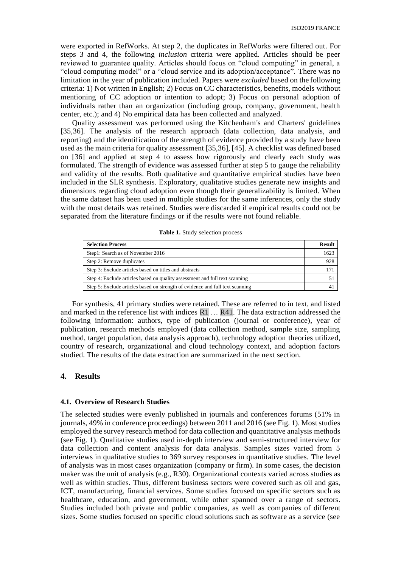were exported in RefWorks. At step 2, the duplicates in RefWorks were filtered out. For steps 3 and 4, the following *inclusion* criteria were applied. Articles should be peer reviewed to guarantee quality. Articles should focus on "cloud computing" in general, a "cloud computing model" or a "cloud service and its adoption/acceptance". There was no limitation in the year of publication included. Papers were *excluded* based on the following criteria: 1) Not written in English; 2) Focus on CC characteristics, benefits, models without mentioning of CC adoption or intention to adopt; 3) Focus on personal adoption of individuals rather than an organization (including group, company, government, health center, etc.); and 4) No empirical data has been collected and analyzed.

Quality assessment was performed using the Kitchenham's and Charters' guidelines [35,36]. The analysis of the research approach (data collection, data analysis, and reporting) and the identification of the strength of evidence provided by a study have been used as the main criteria for quality assessment [35,36], [45]. A checklist was defined based on [36] and applied at step 4 to assess how rigorously and clearly each study was formulated. The strength of evidence was assessed further at step 5 to gauge the reliability and validity of the results. Both qualitative and quantitative empirical studies have been included in the SLR synthesis. Exploratory, qualitative studies generate new insights and dimensions regarding cloud adoption even though their generalizability is limited*.* When the same dataset has been used in multiple studies for the same inferences, only the study with the most details was retained. Studies were discarded if empirical results could not be separated from the literature findings or if the results were not found reliable.

| <b>Selection Process</b>                                                      | <b>Result</b> |
|-------------------------------------------------------------------------------|---------------|
| Step1: Search as of November 2016                                             | 1623          |
| Step 2: Remove duplicates                                                     | 928           |
| Step 3: Exclude articles based on titles and abstracts                        |               |
| Step 4: Exclude articles based on quality assessment and full text scanning   |               |
| Step 5: Exclude articles based on strength of evidence and full text scanning |               |

| <b>Table 1.</b> Study selection process |  |  |
|-----------------------------------------|--|--|
|-----------------------------------------|--|--|

For synthesis, 41 primary studies were retained. These are referred to in text, and listed and marked in the reference list with indices R1 … R41. The data extraction addressed the following information: authors, type of publication (journal or conference), year of publication, research methods employed (data collection method, sample size, sampling method, target population, data analysis approach), technology adoption theories utilized, country of research, organizational and cloud technology context, and adoption factors studied. The results of the data extraction are summarized in the next section.

## **4. Results**

### **4.1. Overview of Research Studies**

The selected studies were evenly published in journals and conferences forums (51% in journals, 49% in conference proceedings) between 2011 and 2016 (see Fig. 1). Most studies employed the survey research method for data collection and quantitative analysis methods (see Fig. 1). Qualitative studies used in-depth interview and semi-structured interview for data collection and content analysis for data analysis. Samples sizes varied from 5 interviews in qualitative studies to 369 survey responses in quantitative studies. The level of analysis was in most cases organization (company or firm). In some cases, the decision maker was the unit of analysis (e.g., R30). Organizational contexts varied across studies as well as within studies. Thus, different business sectors were covered such as oil and gas, ICT, manufacturing, financial services. Some studies focused on specific sectors such as healthcare, education, and government, while other spanned over a range of sectors. Studies included both private and public companies, as well as companies of different sizes. Some studies focused on specific cloud solutions such as software as a service (see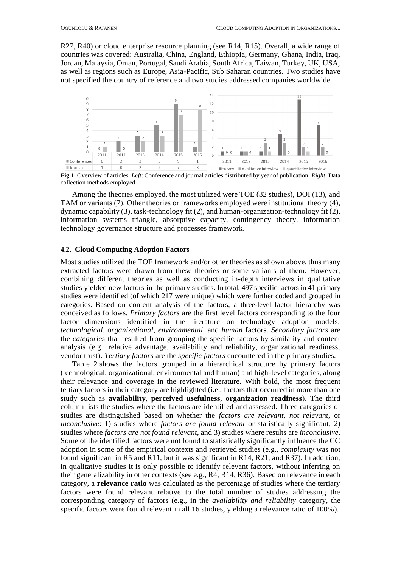R27, R40) or cloud enterprise resource planning (see R14, R15). Overall, a wide range of countries was covered: Australia, China, England, Ethiopia, Germany, Ghana, India, Iraq, Jordan, Malaysia, Oman, Portugal, Saudi Arabia, South Africa, Taiwan, Turkey, UK, USA, as well as regions such as Europe, Asia-Pacific, Sub Saharan countries. Two studies have not specified the country of reference and two studies addressed companies worldwide.



**Fig.1.** Overview of articles. *Left*: Conference and journal articles distributed by year of publication. *Right*: Data collection methods employed

Among the theories employed, the most utilized were TOE (32 studies), DOI (13), and TAM or variants (7). Other theories or frameworks employed were institutional theory (4), dynamic capability (3), task-technology fit (2), and human-organization-technology fit (2), information systems triangle, absorptive capacity, contingency theory, information technology governance structure and processes framework.

### **4.2. Cloud Computing Adoption Factors**

Most studies utilized the TOE framework and/or other theories as shown above, thus many extracted factors were drawn from these theories or some variants of them. However, combining different theories as well as conducting in-depth interviews in qualitative studies yielded new factors in the primary studies. In total, 497 specific factors in 41 primary studies were identified (of which 217 were unique) which were further coded and grouped in categories. Based on content analysis of the factors, a three-level factor hierarchy was conceived as follows. *Primary factors* are the first level factors corresponding to the four factor dimensions identified in the literature on technology adoption models; *technological*, *organizational*, *environmental*, and *human* factors. *Secondary factors* are the *categories* that resulted from grouping the specific factors by similarity and content analysis (e.g., relative advantage, availability and reliability, organizational readiness, vendor trust). *Tertiary factors* are the *specific factors* encountered in the primary studies.

Table 2 shows the factors grouped in a hierarchical structure by primary factors (technological, organizational, environmental and human) and high-level categories, along their relevance and coverage in the reviewed literature. With bold, the most frequent tertiary factors in their category are highlighted (i.e., factors that occurred in more than one study such as **availability**, **perceived usefulness**, **organization readiness**). The third column lists the studies where the factors are identified and assessed. Three categories of studies are distinguished based on whether the *factors are relevant*, *not relevant*, or *inconclusive*: 1) studies where *factors are found relevant* or statistically significant, 2) studies where *factors are not found relevant*, and 3) studies where results are *inconclusive*. Some of the identified factors were not found to statistically significantly influence the CC adoption in some of the empirical contexts and retrieved studies (e.g., *complexity* was not found significant in R5 and R11, but it was significant in R14, R21, and R37). In addition, in qualitative studies it is only possible to identify relevant factors, without inferring on their generalizability in other contexts (see e.g., R4, R14, R36). Based on relevance in each category, a **relevance ratio** was calculated as the percentage of studies where the tertiary factors were found relevant relative to the total number of studies addressing the corresponding category of factors (e.g., in the *availability and reliability* category, the specific factors were found relevant in all 16 studies, yielding a relevance ratio of 100%).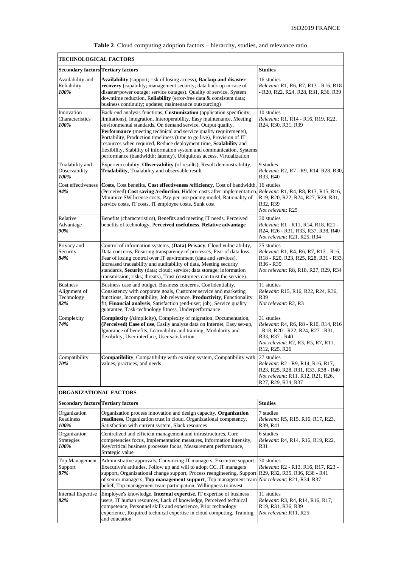| <b>TECHNOLOGICAL FACTORS</b>                         |                                                                                                                                                                                                                                                                                                                                                                                                                                                                                                                                                                                   |                                                                                                                                                                                                        |  |  |  |
|------------------------------------------------------|-----------------------------------------------------------------------------------------------------------------------------------------------------------------------------------------------------------------------------------------------------------------------------------------------------------------------------------------------------------------------------------------------------------------------------------------------------------------------------------------------------------------------------------------------------------------------------------|--------------------------------------------------------------------------------------------------------------------------------------------------------------------------------------------------------|--|--|--|
| <b>Secondary factors Tertiary factors</b>            |                                                                                                                                                                                                                                                                                                                                                                                                                                                                                                                                                                                   | <b>Studies</b>                                                                                                                                                                                         |  |  |  |
| Availability and<br>Reliability<br>100%              | Availability (support; risk of losing access), Backup and disaster<br>recovery (capability; management security; data back up in case of<br>disaster/power outage; service outages), Quality of service, System<br>downtime reduction, Reliability (error-free data & consistent data;<br>business continuity; updates; maintenance outsourcing)                                                                                                                                                                                                                                  | 16 studies<br>Relevant: R1, R6, R7, R13 - R16, R18<br>- R20, R22, R24, R28, R31, R36, R39                                                                                                              |  |  |  |
| Innovation<br>Characteristics<br>100%                | Back-end analysis functions, Customization (application specificity;<br>limitations), Integration, Interoperability, Easy maintenance, Meeting<br>environmental standards, On demand service, Output quality,<br>Performance (meeting technical and service quality requirements),<br>Portability, Production timeliness (time to go live), Provision of IT<br>resources when required, Reduce deployment time, Scalability and<br>flexibility, Stability of information system and communication, Systems<br>performance (bandwidth; latency), Ubiquitous access, Virtualization | 10 studies<br>Relevant: R1, R14 - R16, R19, R22,<br>R24, R30, R31, R39                                                                                                                                 |  |  |  |
| Trialability and<br>Observability<br>100%            | Experienceability, Observability (of results), Result demonstrability,<br>Trialability, Trialability and observable result                                                                                                                                                                                                                                                                                                                                                                                                                                                        | 9 studies<br>Relevant: R2, R7 - R9, R14, R28, R30,<br>R33, R40                                                                                                                                         |  |  |  |
| Cost effectiveness<br>94%                            | Costs, Cost benefits, Cost effectiveness / efficiency, Cost of bandwidth, 16 studies<br>(Perceived) Cost saving /reduction, Hidden costs after implementation, Relevant: R1, R4, R8, R13, R15, R16,<br>Minimize SW license costs, Pay-per-use pricing model, Rationality of<br>service costs, IT costs, IT employee costs, Sunk cost                                                                                                                                                                                                                                              | R19, R20, R22, R24, R27, R29, R31,<br>R32, R39<br>Not relevant: R25                                                                                                                                    |  |  |  |
| Relative<br>Advantage<br>90%                         | Benefits (characteristics), Benefits and meeting IT needs, Perceived<br>benefits of technology, Perceived usefulness, Relative advantage                                                                                                                                                                                                                                                                                                                                                                                                                                          | 30 studies<br>Relevant: R1 - R11, R14, R18, R21 -<br>R24, R26 - R31, R33, R37, R38, R40<br>Not relevant: R21, R25, R34                                                                                 |  |  |  |
| Privacy and<br>Security<br>84%                       | Control of information systems, (Data) Privacy, Cloud vulnerability,<br>Data concerns, Ensuring transparency of processes, Fear of data loss,<br>Fear of losing control over IT environment (data and services),<br>Increased traceability and auditability of data, Meeting security<br>standards, Security (data; cloud; service; data storage; information<br>transmission; risks; threats), Trust (customers can trust the service)                                                                                                                                           | 25 studies<br>Relevant: R1, R4, R6, R7, R13 - R16,<br>R18 - R20, R23, R25, R28, R31 - R33,<br>R <sub>36</sub> - R <sub>39</sub><br>Not relevant: R8, R18, R27, R29, R34                                |  |  |  |
| <b>Business</b><br>Alignment of<br>Technology<br>82% | Business case and budget, Business concerns, Confidentiality,<br>Consistency with corporate goals, Customer service and marketing<br>functions, Incompatibility, Job relevance, <b>Productivity</b> , Functionality<br>fit, Financial analysis, Satisfaction (end-user; job), Service quality<br>guarantee, Task-technology fitness, Underperformance                                                                                                                                                                                                                             | 11 studies<br>Relevant: R15, R16, R22, R24, R36,<br>R39<br>Not relevant: R2, R3                                                                                                                        |  |  |  |
| Complexity<br>74%                                    | <b>Complexity</b> (/simplicity), Complexity of migration, Documentation,<br>(Perceived) Ease of use, Easily analyze data on Internet, Easy set-up,<br>Ignorance of benefits, Learnability and training, Modularity and<br>flexibility, User interface, User satisfaction                                                                                                                                                                                                                                                                                                          | 31 studies<br>Relevant: R4, R6, R8 - R10, R14, R16<br>- R18, R20 - R22, R24, R27 - R31,<br>R33, R37 - R40<br>Not relevant: R2, R3, R5, R7, R11,<br>R <sub>12</sub> , R <sub>25</sub> , R <sub>26</sub> |  |  |  |
| Compatibility<br>70%                                 | <b>Compatibility</b> , Compatibility with existing system, Compatibility with<br>values, practices, and needs                                                                                                                                                                                                                                                                                                                                                                                                                                                                     | 27 studies<br>Relevant: R2 - R9, R14, R16, R17,<br>R23, R25, R28, R31, R33, R38 - R40<br><i>Not relevant: R11, R12, R21, R26,</i><br>R27, R29, R34, R37                                                |  |  |  |
|                                                      | <b>ORGANIZATIONAL FACTORS</b>                                                                                                                                                                                                                                                                                                                                                                                                                                                                                                                                                     |                                                                                                                                                                                                        |  |  |  |
| <b>Secondary factors Tertiary factors</b>            |                                                                                                                                                                                                                                                                                                                                                                                                                                                                                                                                                                                   | <b>Studies</b>                                                                                                                                                                                         |  |  |  |
| Organization<br>Readiness<br>100%                    | Organization process innovation and design capacity, Organization<br>readiness, Organization trust in cloud, Organizational competency,<br>Satisfaction with current system, Slack resources                                                                                                                                                                                                                                                                                                                                                                                      | 7 studies<br>Relevant: R5, R15, R16, R17, R23,<br>R39, R41                                                                                                                                             |  |  |  |
| Organization<br><b>Strategies</b><br>100%            | Centralized and efficient management and infrastructures, Core<br>competencies focus, Implementation measures, Information intensity,<br>Key/critical business processes focus, Measurement performance,<br>Strategic value                                                                                                                                                                                                                                                                                                                                                       | 6 studies<br>Relevant: R4, R14, R16, R19, R22,<br>R31                                                                                                                                                  |  |  |  |
| Top Management<br>Support<br>87%                     | Administrative approvals, Convincing IT managers, Executive support,<br>Executive's attitudes, Follow up and will to adopt CC, IT managers<br>support, Organizational change support, Process reengineering, Support R29, R32, R35, R36, R38 - R41<br>of senior managers, Top management support, Top management team <i>Not relevant</i> : R21, R34, R37<br>belief, Top management team participation, Willingness to invest                                                                                                                                                     | 30 studies<br>Relevant: R2 - R13, R16, R17, R23 -                                                                                                                                                      |  |  |  |
| Internal Expertise<br>82%                            | Employee's knowledge, Internal expertise, IT expertise of business<br>users, IT human resources, Lack of knowledge, Perceived technical<br>competence, Personnel skills and experience, Prior technology<br>experience, Required technical expertise in cloud computing, Training<br>and education                                                                                                                                                                                                                                                                                | 11 studies<br>Relevant: R3, R4, R14, R16, R17,<br>R <sub>19</sub> , R <sub>31</sub> , R <sub>36</sub> , R <sub>39</sub><br><i>Not relevant</i> : R11, R25                                              |  |  |  |

| Table 2. Cloud computing adoption factors - hierarchy, studies, and relevance ratio |
|-------------------------------------------------------------------------------------|
|                                                                                     |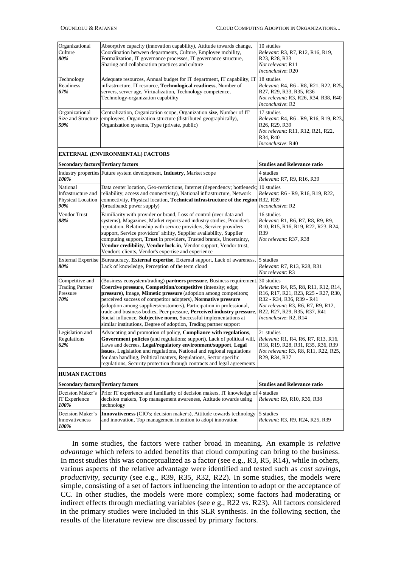| Organizational<br>Culture<br>80%<br>Technology<br>Readiness  | Absorptive capacity (innovation capability), Attitude towards change,<br>Coordination between departments, Culture, Employee mobility,<br>Formalization, IT governance processes, IT governance structure,<br>Sharing and collaboration practices and culture<br>Adequate resources, Annual budget for IT department, IT capability, IT                                                                                                                                                                                                                                                                      | 10 studies<br>Relevant: R3, R7, R12, R16, R19,<br>R <sub>23</sub> , R <sub>28</sub> , R <sub>33</sub><br><i>Not relevant</i> : R11<br>Inconclusive: R20<br>18 studies<br>Relevant: R4, R6 - R8, R21, R22, R25,                                                    |  |  |
|--------------------------------------------------------------|--------------------------------------------------------------------------------------------------------------------------------------------------------------------------------------------------------------------------------------------------------------------------------------------------------------------------------------------------------------------------------------------------------------------------------------------------------------------------------------------------------------------------------------------------------------------------------------------------------------|-------------------------------------------------------------------------------------------------------------------------------------------------------------------------------------------------------------------------------------------------------------------|--|--|
| 67%                                                          | infrastructure, IT resource, Technological readiness, Number of<br>servers, server age, Virtualization, Technology competence,<br>Technology-organization capability                                                                                                                                                                                                                                                                                                                                                                                                                                         | R <sub>27</sub> , R <sub>29</sub> , R <sub>33</sub> , R <sub>35</sub> , R <sub>36</sub><br>Not relevant: R3, R26, R34, R38, R40<br>Inconclusive: R2                                                                                                               |  |  |
| Organizational<br>Size and Structure<br>59%                  | Centralization, Organization scope, Organization size, Number of IT<br>employees, Organization structure (distributed geographically),<br>Organization systems, Type (private, public)                                                                                                                                                                                                                                                                                                                                                                                                                       | 17 studies<br>Relevant: R4, R6 - R9, R16, R19, R23,<br>R26, R29, R39<br>Not relevant: R11, R12, R21, R22,<br>R34, R40<br>Inconclusive: R40                                                                                                                        |  |  |
|                                                              | <b>EXTERNAL (ENVIRONMENTAL) FACTORS</b>                                                                                                                                                                                                                                                                                                                                                                                                                                                                                                                                                                      |                                                                                                                                                                                                                                                                   |  |  |
| <b>Secondary factors Tertiary factors</b>                    |                                                                                                                                                                                                                                                                                                                                                                                                                                                                                                                                                                                                              | <b>Studies and Relevance ratio</b>                                                                                                                                                                                                                                |  |  |
| 100%                                                         | Industry properties Future system development, Industry, Market scope                                                                                                                                                                                                                                                                                                                                                                                                                                                                                                                                        | 4 studies<br>Relevant: R7, R9, R16, R39                                                                                                                                                                                                                           |  |  |
| National<br>Infrastructure and<br>Physical Location<br>90%   | Data center location, Geo-restrictions, Internet (dependency; bottleneck; 10 studies<br>reliability; access and connectivity), National infrastructure, Network<br>connectivity, Physical location, Technical infrastructure of the region<br>(broadband; power supply)                                                                                                                                                                                                                                                                                                                                      | Relevant: R6 - R9, R16, R19, R22,<br>R32, R39<br>Inconclusive: R2                                                                                                                                                                                                 |  |  |
| Vendor Trust<br>88%                                          | Familiarity with provider or brand, Loss of control (over data and<br>systems), Magazines, Market reports and industry studies, Provider's<br>reputation, Relationship with service providers, Service providers<br>support, Service providers' ability, Supplier availability, Supplier<br>computing support, Trust in providers, Trusted brands, Uncertainty,<br>Vendor credibility, Vendor lock-in, Vendor support, Vendor trust,<br>Vendor's clients, Vendor's expertise and experience                                                                                                                  | 16 studies<br>Relevant: R1, R6, R7, R8, R9, R9,<br>R10, R15, R16, R19, R22, R23, R24,<br>R39<br>Not relevant: R37, R38                                                                                                                                            |  |  |
| <b>External Expertise</b><br>80%                             | Bureaucracy, External expertise, External support, Lack of awareness,<br>Lack of knowledge, Perception of the term cloud                                                                                                                                                                                                                                                                                                                                                                                                                                                                                     | 5 studies<br>Relevant: R7, R13, R28, R31<br>Not relevant: R3                                                                                                                                                                                                      |  |  |
| Competitive and<br><b>Trading Partner</b><br>Pressure<br>70% | (Business ecosystem/trading) partners pressure, Business requirement, 30 studies<br>Coercive pressure, Competition/competitive (intensity; edge;<br>pressure), Image, Mimetic pressure (adoption among competitors;<br>perceived success of competitor adopters), Normative pressure<br>(adoption among suppliers/customers), Participation in professional,<br>trade and business bodies, Peer pressure, Perceived industry pressure, R22, R27, R29, R35, R37, R41<br>Social influence, Subjective norm, Successful implementations at<br>similar institutions, Degree of adoption, Trading partner support | Relevant: R4, R5, R8, R11, R12, R14,<br>R <sub>16</sub> , R <sub>17</sub> , R <sub>21</sub> , R <sub>23</sub> , R <sub>25</sub> - R <sub>27</sub> , R <sub>30</sub> ,<br>R32 - R34, R36, R39 - R41<br>Not relevant: R3, R6, R7, R9, R12,<br>Inconclusive: R2, R14 |  |  |
| Legislation and<br>Regulations<br>62%                        | Advocating and promotion of policy, Compliance with regulations,<br>Government policies (and regulations; support), Lack of political will,<br>Laws and decrees, Legal/regulatory environment/support, Legal<br>issues, Legislation and regulations, National and regional regulations<br>for data handling, Political matters, Regulations, Sector specific<br>regulations, Security protection through contracts and legal agreements                                                                                                                                                                      | 21 studies<br>Relevant: R1, R4, R6, R7, R13, R16,<br>R18, R19, R28, R31, R35, R36, R39<br>Not relevant: R3, R8, R11, R22, R25,<br>R29, R34, R37                                                                                                                   |  |  |
| <b>HUMAN FACTORS</b>                                         |                                                                                                                                                                                                                                                                                                                                                                                                                                                                                                                                                                                                              |                                                                                                                                                                                                                                                                   |  |  |
| <b>Secondary factors Tertiary factors</b>                    |                                                                                                                                                                                                                                                                                                                                                                                                                                                                                                                                                                                                              | <b>Studies and Relevance ratio</b>                                                                                                                                                                                                                                |  |  |
| Decision Maker's<br><b>IT Experience</b><br>100%             | Prior IT experience and familiarity of decision makers, IT knowledge of 4 studies<br>decision makers, Top management awareness, Attitude towards using<br>technology                                                                                                                                                                                                                                                                                                                                                                                                                                         | Relevant: R9, R10, R36, R38                                                                                                                                                                                                                                       |  |  |
| Decision Maker's<br>Innovativeness<br>100%                   | Innovativeness (CIO's; decision maker's), Attitude towards technology<br>and innovation, Top management intention to adopt innovation                                                                                                                                                                                                                                                                                                                                                                                                                                                                        | 5 studies<br><i>Relevant: R3, R9, R24, R25, R39</i>                                                                                                                                                                                                               |  |  |

In some studies, the factors were rather broad in meaning. An example is *relative advantage* which refers to added benefits that cloud computing can bring to the business. In most studies this was conceptualized as a factor (see e.g., R3, R5, R14), while in others, various aspects of the relative advantage were identified and tested such as *cost savings*, *productivity*, *security* (see e.g., R39, R35, R32, R22). In some studies, the models were simple, consisting of a set of factors influencing the intention to adopt or the acceptance of CC. In other studies, the models were more complex; some factors had moderating or indirect effects through mediating variables (see e g., R22 vs. R23). All factors considered in the primary studies were included in this SLR synthesis. In the following section, the results of the literature review are discussed by primary factors.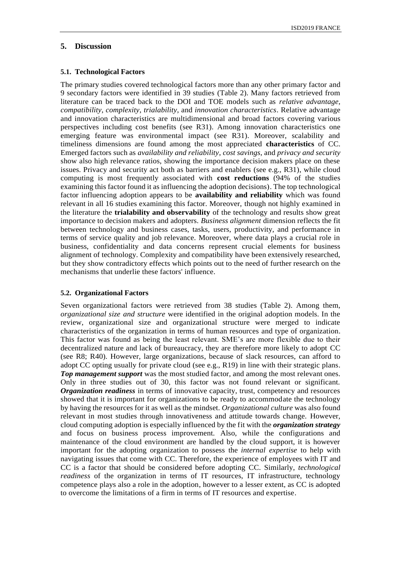## **5. Discussion**

## **5.1. Technological Factors**

The primary studies covered technological factors more than any other primary factor and 9 secondary factors were identified in 39 studies (Table 2). Many factors retrieved from literature can be traced back to the DOI and TOE models such as *relative advantage*, *compatibility*, *complexity*, *trialability*, and *innovation characteristics*. Relative advantage and innovation characteristics are multidimensional and broad factors covering various perspectives including cost benefits (see R31). Among innovation characteristics one emerging feature was environmental impact (see R31). Moreover, scalability and timeliness dimensions are found among the most appreciated **characteristics** of CC. Emerged factors such as *availability and reliability*, *cost savings*, and *privacy and security* show also high relevance ratios, showing the importance decision makers place on these issues. Privacy and security act both as barriers and enablers (see e.g., R31), while cloud computing is most frequently associated with **cost reductions** (94% of the studies examining this factor found it as influencing the adoption decisions). The top technological factor influencing adoption appears to be **availability and reliability** which was found relevant in all 16 studies examining this factor. Moreover, though not highly examined in the literature the **trialability and observability** of the technology and results show great importance to decision makers and adopters. *Business alignment* dimension reflects the fit between technology and business cases, tasks, users, productivity, and performance in terms of service quality and job relevance. Moreover, where data plays a crucial role in business, confidentiality and data concerns represent crucial elements for business alignment of technology. Complexity and compatibility have been extensively researched, but they show contradictory effects which points out to the need of further research on the mechanisms that underlie these factors' influence.

## **5.2. Organizational Factors**

Seven organizational factors were retrieved from 38 studies (Table 2). Among them, *organizational size and structure* were identified in the original adoption models. In the review, organizational size and organizational structure were merged to indicate characteristics of the organization in terms of human resources and type of organization. This factor was found as being the least relevant. SME's are more flexible due to their decentralized nature and lack of bureaucracy, they are therefore more likely to adopt CC (see R8; R40). However, large organizations, because of slack resources, can afford to adopt CC opting usually for private cloud (see e.g., R19) in line with their strategic plans. *Top management support* was the most studied factor, and among the most relevant ones. Only in three studies out of 30, this factor was not found relevant or significant. *Organization readiness* in terms of innovative capacity, trust, competency and resources showed that it is important for organizations to be ready to accommodate the technology by having the resources for it as well as the mindset. *Organizational culture* was also found relevant in most studies through innovativeness and attitude towards change. However, cloud computing adoption is especially influenced by the fit with the *organization strategy* and focus on business process improvement. Also, while the configurations and maintenance of the cloud environment are handled by the cloud support, it is however important for the adopting organization to possess the *internal expertise* to help with navigating issues that come with CC. Therefore, the experience of employees with IT and CC is a factor that should be considered before adopting CC. Similarly, *technological readiness* of the organization in terms of IT resources, IT infrastructure, technology competence plays also a role in the adoption, however to a lesser extent, as CC is adopted to overcome the limitations of a firm in terms of IT resources and expertise.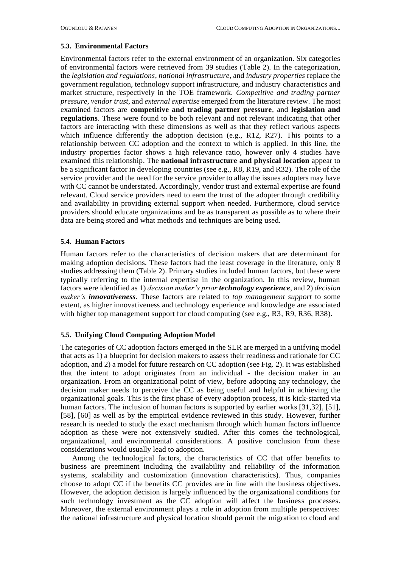#### **5.3. Environmental Factors**

Environmental factors refer to the external environment of an organization. Six categories of environmental factors were retrieved from 39 studies (Table 2). In the categorization, the *legislation and regulations*, *national infrastructure*, and *industry properties* replace the government regulation, technology support infrastructure, and industry characteristics and market structure, respectively in the TOE framework. *Competitive and trading partner pressure*, *vendor trust*, and *external expertise* emerged from the literature review. The most examined factors are **competitive and trading partner pressure**, and **legislation and regulations**. These were found to be both relevant and not relevant indicating that other factors are interacting with these dimensions as well as that they reflect various aspects which influence differently the adoption decision (e.g., R12, R27). This points to a relationship between CC adoption and the context to which is applied. In this line, the industry properties factor shows a high relevance ratio, however only 4 studies have examined this relationship. The **national infrastructure and physical location** appear to be a significant factor in developing countries (see e.g., R8, R19, and R32). The role of the service provider and the need for the service provider to allay the issues adopters may have with CC cannot be understated. Accordingly, vendor trust and external expertise are found relevant. Cloud service providers need to earn the trust of the adopter through credibility and availability in providing external support when needed. Furthermore, cloud service providers should educate organizations and be as transparent as possible as to where their data are being stored and what methods and techniques are being used.

### **5.4. Human Factors**

Human factors refer to the characteristics of decision makers that are determinant for making adoption decisions. These factors had the least coverage in the literature, only 8 studies addressing them (Table 2). Primary studies included human factors, but these were typically referring to the internal expertise in the organization. In this review, human factors were identified as 1) *decision maker's prior technology experience*, and 2) *decision maker's innovativeness*. These factors are related to *top management support* to some extent, as higher innovativeness and technology experience and knowledge are associated with higher top management support for cloud computing (see e.g., R3, R9, R36, R38).

## **5.5. Unifying Cloud Computing Adoption Model**

The categories of CC adoption factors emerged in the SLR are merged in a unifying model that acts as 1) a blueprint for decision makers to assess their readiness and rationale for CC adoption, and 2) a model for future research on CC adoption (see Fig. 2). It was established that the intent to adopt originates from an individual - the decision maker in an organization. From an organizational point of view, before adopting any technology, the decision maker needs to perceive the CC as being useful and helpful in achieving the organizational goals. This is the first phase of every adoption process, it is kick-started via human factors. The inclusion of human factors is supported by earlier works [31,32], [51], [58], [60] as well as by the empirical evidence reviewed in this study. However, further research is needed to study the exact mechanism through which human factors influence adoption as these were not extensively studied. After this comes the technological, organizational, and environmental considerations. A positive conclusion from these considerations would usually lead to adoption.

Among the technological factors, the characteristics of CC that offer benefits to business are preeminent including the availability and reliability of the information systems, scalability and customization (innovation characteristics). Thus, companies choose to adopt CC if the benefits CC provides are in line with the business objectives. However, the adoption decision is largely influenced by the organizational conditions for such technology investment as the CC adoption will affect the business processes. Moreover, the external environment plays a role in adoption from multiple perspectives: the national infrastructure and physical location should permit the migration to cloud and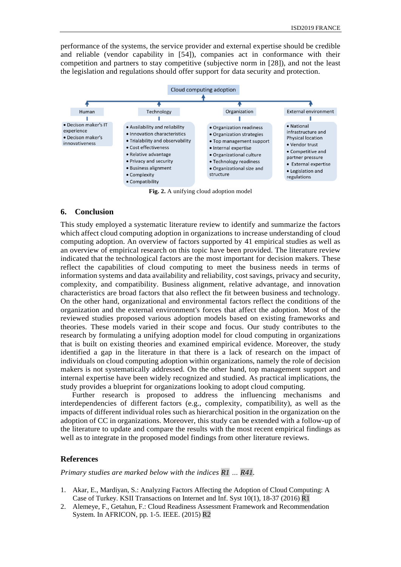performance of the systems, the service provider and external expertise should be credible and reliable (vendor capability in [54]), companies act in conformance with their competition and partners to stay competitive (subjective norm in [28]), and not the least the legislation and regulations should offer support for data security and protection.



**Fig. 2.** A unifying cloud adoption model

### **6. Conclusion**

This study employed a systematic literature review to identify and summarize the factors which affect cloud computing adoption in organizations to increase understanding of cloud computing adoption. An overview of factors supported by 41 empirical studies as well as an overview of empirical research on this topic have been provided. The literature review indicated that the technological factors are the most important for decision makers. These reflect the capabilities of cloud computing to meet the business needs in terms of information systems and data availability and reliability, cost savings, privacy and security, complexity, and compatibility. Business alignment, relative advantage, and innovation characteristics are broad factors that also reflect the fit between business and technology. On the other hand, organizational and environmental factors reflect the conditions of the organization and the external environment's forces that affect the adoption. Most of the reviewed studies proposed various adoption models based on existing frameworks and theories. These models varied in their scope and focus. Our study contributes to the research by formulating a unifying adoption model for cloud computing in organizations that is built on existing theories and examined empirical evidence. Moreover, the study identified a gap in the literature in that there is a lack of research on the impact of individuals on cloud computing adoption within organizations, namely the role of decision makers is not systematically addressed. On the other hand, top management support and internal expertise have been widely recognized and studied. As practical implications, the study provides a blueprint for organizations looking to adopt cloud computing.

Further research is proposed to address the influencing mechanisms and interdependencies of different factors (e.g., complexity, compatibility), as well as the impacts of different individual roles such as hierarchical position in the organization on the adoption of CC in organizations. Moreover, this study can be extended with a follow-up of the literature to update and compare the results with the most recent empirical findings as well as to integrate in the proposed model findings from other literature reviews.

### **References**

*Primary studies are marked below with the indices R1 … R41.*

- 1. Akar, E., Mardiyan, S.: Analyzing Factors Affecting the Adoption of Cloud Computing: A Case of Turkey. KSII Transactions on Internet and Inf. Syst 10(1), 18-37 (2016) R1
- 2. Alemeye, F., Getahun, F.: Cloud Readiness Assessment Framework and Recommendation System. In AFRICON, pp. 1-5. IEEE. (2015) R2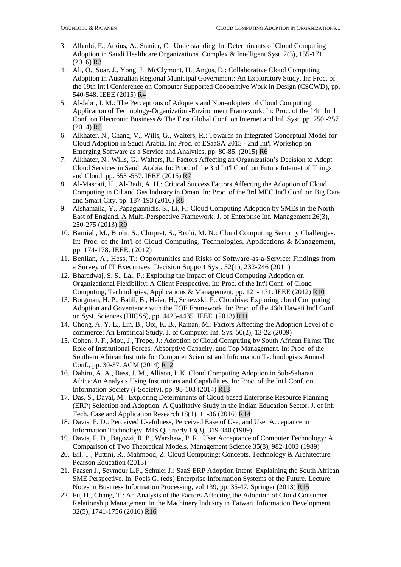- 3. Alharbi, F., Atkins, A., Stanier, C.: Understanding the Determinants of Cloud Computing Adoption in Saudi Healthcare Organizations. Complex & Intelligent Syst. 2(3), 155-171 (2016) R3
- 4. Ali, O., Soar, J., Yong, J., McClymont, H., Angus, D.: Collaborative Cloud Computing Adoption in Australian Regional Municipal Government: An Exploratory Study. In: Proc. of the 19th Int'l Conference on Computer Supported Cooperative Work in Design (CSCWD), pp. 540-548. IEEE (2015) R4
- 5. Al-Jabri, I. M.: The Perceptions of Adopters and Non-adopters of Cloud Computing: Application of Technology-Organization-Environment Framework. In: Proc. of the 14th Int'l Conf. on Electronic Business & The First Global Conf. on Internet and Inf. Syst, pp. 250 -257 (2014) R5
- 6. Alkhater, N., Chang, V., Wills, G., Walters, R.: Towards an Integrated Conceptual Model for Cloud Adoption in Saudi Arabia. In: Proc. of ESaaSA 2015 - 2nd Int'l Workshop on Emerging Software as a Service and Analytics, pp. 80-85. (2015) R6
- 7. Alkhater, N., Wills, G., Walters, R.: Factors Affecting an Organization's Decision to Adopt Cloud Services in Saudi Arabia. In: Proc. of the 3rd Int'l Conf. on Future Internet of Things and Cloud, pp. 553 -557. IEEE (2015) R7
- 8. Al-Mascati, H., Al-Badi, A. H.: Critical Success Factors Affecting the Adoption of Cloud Computing in Oil and Gas Industry in Oman. In: Proc. of the 3rd MEC Int'l Conf. on Big Data and Smart City. pp. 187-193 (2016) R8
- 9. Alshamaila, Y., Papagiannidis, S., Li, F.: Cloud Computing Adoption by SMEs in the North East of England. A Multi-Perspective Framework. J. of Enterprise Inf. Management 26(3), 250-275 (2013) R9
- 10. Bamiah, M., Brohi, S., Chuprat, S., Brohi, M. N.: Cloud Computing Security Challenges. In: Proc. of the Int'l of Cloud Computing, Technologies, Applications & Management, pp. 174-178. IEEE. (2012)
- 11. Benlian, A., Hess, T.: Opportunities and Risks of Software-as-a-Service: Findings from a Survey of IT Executives. Decision Support Syst. 52(1), 232-246 (2011)
- 12. Bharadwaj, S. S., Lal, P.: Exploring the Impact of Cloud Computing Adoption on Organizational Flexibility: A Client Perspective. In: Proc. of the Int'l Conf. of Cloud Computing, Technologies, Applications & Management, pp. 121- 131. IEEE (2012) R10
- 13. Borgman, H. P., Bahli, B., Heier, H., Schewski, F.: Cloudrise: Exploring cloud Computing Adoption and Governance with the TOE Framework. In: Proc. of the 46th Hawaii Int'l Conf. on Syst. Sciences (HICSS), pp. 4425-4435. IEEE. (2013) R11
- 14. Chong, A. Y. L., Lin, B., Ooi, K. B., Raman, M.: Factors Affecting the Adoption Level of ccommerce: An Empirical Study. J. of Computer Inf. Sys. 50(2), 13-22 (2009)
- 15. Cohen, J. F., Mou, J., Trope, J.: Adoption of Cloud Computing by South African Firms: The Role of Institutional Forces, Absorptive Capacity, and Top Management. In: Proc. of the Southern African Institute for Computer Scientist and Information Technologists Annual Conf., pp. 30-37. ACM (2014) R12
- 16. Dahiru, A. A., Bass, J. M., Allison, I. K. Cloud Computing Adoption in Sub-Saharan Africa:An Analysis Using Institutions and Capabilities. In: Proc. of the Int'l Conf. on Information Society (i-Society), pp. 98-103 (2014) R13
- 17. Das, S., Dayal, M.: Exploring Determinants of Cloud-based Enterprise Resource Planning (ERP) Selection and Adoption: A Qualitative Study in the Indian Education Sector. J. of Inf. Tech. Case and Application Research 18(1), 11-36 (2016) R14
- 18. Davis, F. D.: Perceived Usefulness, Perceived Ease of Use, and User Acceptance in Information Technology. MIS Quarterly 13(3), 319-340 (1989)
- 19. Davis, F. D., Bagozzi, R. P., Warshaw, P. R.: User Acceptance of Computer Technology: A Comparison of Two Theoretical Models. Management Science 35(8), 982-1003 (1989)
- 20. Erl, T., Puttini, R., Mahmood, Z. Cloud Computing: Concepts, Technology & Architecture. Pearson Education (2013)
- 21. Faasen J., Seymour L.F., Schuler J.: SaaS ERP Adoption Intent: Explaining the South African SME Perspective. In: Poels G. (eds) Enterprise Information Systems of the Future. Lecture Notes in Business Information Processing, vol 139, pp. 35-47. Springer (2013) R15
- 22. Fu, H., Chang, T.: An Analysis of the Factors Affecting the Adoption of Cloud Consumer Relationship Management in the Machinery Industry in Taiwan. Information Development 32(5), 1741-1756 (2016) R16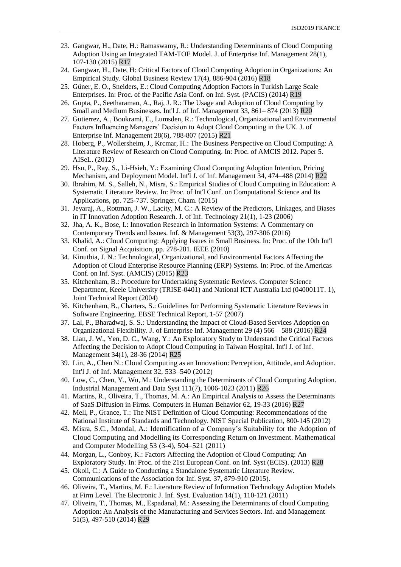- 23. Gangwar, H., Date, H.: Ramaswamy, R.: Understanding Determinants of Cloud Computing Adoption Using an Integrated TAM-TOE Model. J. of Enterprise Inf. Management 28(1), 107-130 (2015) R17
- 24. Gangwar, H., Date, H: Critical Factors of Cloud Computing Adoption in Organizations: An Empirical Study. Global Business Review 17(4), 886-904 (2016) R18
- 25. Güner, E. O., Sneiders, E.: Cloud Computing Adoption Factors in Turkish Large Scale Enterprises. In: Proc. of the Pacific Asia Conf. on Inf. Syst. (PACIS) (2014) R19
- 26. Gupta, P., Seetharaman, A., Raj, J. R.: The Usage and Adoption of Cloud Computing by Small and Medium Businesses. Int'l J. of Inf. Management 33, 861– 874 (2013) R20
- 27. Gutierrez, A., Boukrami, E., Lumsden, R.: Technological, Organizational and Environmental Factors Influencing Managers' Decision to Adopt Cloud Computing in the UK. J. of Enterprise Inf. Management 28(6), 788-807 (2015) R21
- 28. Hoberg, P., Wollersheim, J., Krcmar, H.: The Business Perspective on Cloud Computing: A Literature Review of Research on Cloud Computing. In: Proc. of AMCIS 2012. Paper 5. AISeL. (2012)
- 29. Hsu, P., Ray, S., Li-Hsieh, Y.: Examining Cloud Computing Adoption Intention, Pricing Mechanism, and Deployment Model. Int'l J. of Inf. Management 34, 474–488 (2014) R22
- 30. Ibrahim, M. S., Salleh, N., Misra, S.: Empirical Studies of Cloud Computing in Education: A Systematic Literature Review. In: Proc. of Int'l Conf. on Computational Science and Its Applications, pp. 725-737. Springer, Cham. (2015)
- 31. Jeyaraj, A., Rottman, J. W., Lacity, M. C.: A Review of the Predictors, Linkages, and Biases in IT Innovation Adoption Research. J. of Inf. Technology 21(1), 1-23 (2006)
- 32. Jha, A. K., Bose, I.: Innovation Research in Information Systems: A Commentary on Contemporary Trends and Issues. Inf. & Management 53(3), 297-306 (2016)
- 33. Khalid, A.: Cloud Computing: Applying Issues in Small Business. In: Proc. of the 10th Int'l Conf. on Signal Acquisition, pp. 278-281. IEEE (2010)
- 34. Kinuthia, J. N.: Technological, Organizational, and Environmental Factors Affecting the Adoption of Cloud Enterprise Resource Planning (ERP) Systems. In: Proc. of the Americas Conf. on Inf. Syst. (AMCIS) (2015) R23
- 35. Kitchenham, B.: Procedure for Undertaking Systematic Reviews. Computer Science Department, Keele University (TRISE-0401) and National ICT Australia Ltd (0400011T. 1), Joint Technical Report (2004)
- 36. Kitchenham, B., Charters, S.: Guidelines for Performing Systematic Literature Reviews in Software Engineering. EBSE Technical Report, 1-57 (2007)
- 37. Lal, P., Bharadwaj, S. S.: Understanding the Impact of Cloud-Based Services Adoption on Organizational Flexibility. J. of Enterprise Inf. Management 29 (4) 566 – 588 (2016) R24
- 38. Lian, J. W., Yen, D. C., Wang, Y.: An Exploratory Study to Understand the Critical Factors Affecting the Decision to Adopt Cloud Computing in Taiwan Hospital. Int'l J. of Inf. Management 34(1), 28-36 (2014) R25
- 39. Lin, A., Chen N.: Cloud Computing as an Innovation: Perception, Attitude, and Adoption. Int'l J. of Inf. Management 32, 533–540 (2012)
- 40. Low, C., Chen, Y., Wu, M.: Understanding the Determinants of Cloud Computing Adoption. Industrial Management and Data Syst 111(7), 1006-1023 (2011) R26
- 41. Martins, R., Oliveira, T., Thomas, M. A.: An Empirical Analysis to Assess the Determinants of SaaS Diffusion in Firms. Computers in Human Behavior 62, 19-33 (2016) R27
- 42. Mell, P., Grance, T.: The NIST Definition of Cloud Computing: Recommendations of the National Institute of Standards and Technology. NIST Special Publication, 800-145 (2012)
- 43. Misra, S.C., Mondal, A.: Identification of a Company's Suitability for the Adoption of Cloud Computing and Modelling its Corresponding Return on Investment. Mathematical and Computer Modelling 53 (3-4), 504–521 (2011)
- 44. Morgan, L., Conboy, K.: Factors Affecting the Adoption of Cloud Computing: An Exploratory Study. In: Proc. of the 21st European Conf. on Inf. Syst (ECIS). (2013) R28
- 45. Okoli, C.: A Guide to Conducting a Standalone Systematic Literature Review. Communications of the Association for Inf. Syst. 37, 879-910 (2015).
- 46. Oliveira, T., Martins, M. F.: Literature Review of Information Technology Adoption Models at Firm Level. The Electronic J. Inf. Syst. Evaluation 14(1), 110-121 (2011)
- 47. Oliveira, T., Thomas, M., Espadanal, M.: Assessing the Determinants of cloud Computing Adoption: An Analysis of the Manufacturing and Services Sectors. Inf. and Management 51(5), 497-510 (2014) R29